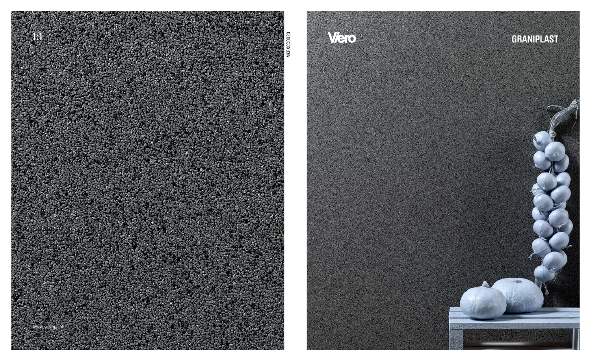

Viero